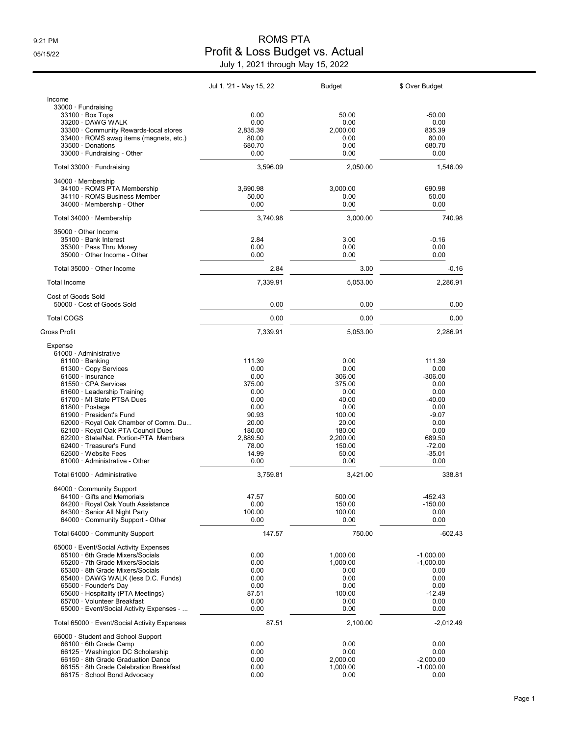## 9:21 PM ROMS PTA 05/15/22 Profit & Loss Budget vs. Actual July 1, 2021 through May 15, 2022

|                                                                    | Jul 1, '21 - May 15, 22 | <b>Budget</b>        | \$ Over Budget             |
|--------------------------------------------------------------------|-------------------------|----------------------|----------------------------|
| Income                                                             |                         |                      |                            |
| 33000 Fundraising                                                  |                         |                      |                            |
| $33100 \cdot$ Box Tops<br>33200 DAWG WALK                          | 0.00<br>0.00            | 50.00<br>0.00        | $-50.00$<br>0.00           |
| 33300 Community Rewards-local stores                               | 2,835.39                | 2,000.00             | 835.39                     |
| 33400 · ROMS swag items (magnets, etc.)                            | 80.00                   | 0.00                 | 80.00                      |
| 33500 Donations                                                    | 680.70                  | 0.00                 | 680.70                     |
| 33000 · Fundraising - Other                                        | 0.00                    | 0.00                 | 0.00                       |
| Total 33000 Fundraising                                            | 3,596.09                | 2,050.00             | 1,546.09                   |
| 34000 Membership                                                   |                         |                      |                            |
| 34100 · ROMS PTA Membership                                        | 3,690.98                | 3,000.00             | 690.98                     |
| 34110 · ROMS Business Member<br>34000 · Membership - Other         | 50.00<br>0.00           | 0.00<br>0.00         | 50.00<br>0.00              |
|                                                                    |                         |                      |                            |
| Total 34000 · Membership                                           | 3,740.98                | 3,000.00             | 740.98                     |
| 35000 Other Income<br>35100 · Bank Interest                        | 2.84                    | 3.00                 | $-0.16$                    |
| 35300 · Pass Thru Money                                            | 0.00                    | 0.00                 | 0.00                       |
| 35000 Other Income - Other                                         | 0.00                    | 0.00                 | 0.00                       |
| Total 35000 Other Income                                           | 2.84                    | 3.00                 | $-0.16$                    |
| <b>Total Income</b>                                                | 7,339.91                | 5,053.00             | 2,286.91                   |
| Cost of Goods Sold                                                 |                         |                      |                            |
| 50000 Cost of Goods Sold                                           | 0.00                    | 0.00                 | 0.00                       |
| <b>Total COGS</b>                                                  | 0.00                    | 0.00                 | 0.00                       |
| Gross Profit                                                       | 7,339.91                | 5,053.00             | 2,286.91                   |
| Expense                                                            |                         |                      |                            |
| 61000 Administrative                                               |                         |                      |                            |
| $61100 \cdot$ Banking                                              | 111.39                  | 0.00                 | 111.39                     |
| 61300 Copy Services                                                | 0.00                    | 0.00                 | 0.00                       |
| $61500 \cdot$ Insurance<br>61550 CPA Services                      | 0.00<br>375.00          | 306.00<br>375.00     | $-306.00$<br>0.00          |
| 61600 Leadership Training                                          | 0.00                    | 0.00                 | 0.00                       |
| 61700 MI State PTSA Dues                                           | 0.00                    | 40.00                | $-40.00$                   |
| 61800 · Postage                                                    | 0.00                    | 0.00                 | 0.00                       |
| 61900 · President's Fund                                           | 90.93                   | 100.00               | $-9.07$                    |
| 62000 · Royal Oak Chamber of Comm. Du                              | 20.00                   | 20.00                | 0.00                       |
| 62100 · Royal Oak PTA Council Dues                                 | 180.00                  | 180.00               | 0.00                       |
| 62200 State/Nat. Portion-PTA Members<br>62400 · Treasurer's Fund   | 2,889.50                | 2,200.00             | 689.50                     |
| 62500 · Website Fees                                               | 78.00<br>14.99          | 150.00<br>50.00      | $-72.00$<br>$-35.01$       |
| 61000 Administrative - Other                                       | 0.00                    | 0.00                 | 0.00                       |
| Total 61000 Administrative                                         | 3,759.81                | 3,421.00             | 338.81                     |
| 64000 Community Support                                            |                         |                      |                            |
| $64100 \cdot$ Gifts and Memorials                                  | 47.57                   | 500.00               | -452.43                    |
| 64200 · Royal Oak Youth Assistance                                 | 0.00                    | 150.00               | $-150.00$                  |
| 64300 · Senior All Night Party                                     | 100.00                  | 100.00               | 0.00                       |
| 64000 Community Support - Other                                    | 0.00                    | 0.00                 | 0.00                       |
| Total 64000 Community Support                                      | 147.57                  | 750.00               | $-602.43$                  |
| 65000 · Event/Social Activity Expenses                             |                         |                      |                            |
| 65100 . 6th Grade Mixers/Socials<br>65200 7th Grade Mixers/Socials | 0.00<br>0.00            | 1,000.00<br>1,000.00 | $-1,000.00$<br>$-1,000.00$ |
| 65300 8th Grade Mixers/Socials                                     | 0.00                    | 0.00                 | 0.00                       |
| 65400 DAWG WALK (less D.C. Funds)                                  | 0.00                    | 0.00                 | 0.00                       |
| 65500 Founder's Day                                                | 0.00                    | 0.00                 | 0.00                       |
| 65600 Hospitality (PTA Meetings)                                   | 87.51                   | 100.00               | $-12.49$                   |
| 65700 · Volunteer Breakfast                                        | 0.00                    | 0.00                 | 0.00                       |
| 65000 · Event/Social Activity Expenses -                           | 0.00                    | 0.00                 | 0.00                       |
| Total 65000 Event/Social Activity Expenses                         | 87.51                   | 2,100.00             | $-2,012.49$                |
| 66000 Student and School Support                                   |                         |                      |                            |
| $66100 \cdot 6$ th Grade Camp<br>66125 Washington DC Scholarship   | 0.00<br>0.00            | 0.00<br>0.00         | 0.00<br>0.00               |
| 66150 · 8th Grade Graduation Dance                                 | 0.00                    | 2,000.00             | $-2,000.00$                |
| 66155 8th Grade Celebration Breakfast                              | 0.00                    | 1,000.00             | $-1,000.00$                |
| 66175 · School Bond Advocacy                                       | 0.00                    | 0.00                 | 0.00                       |
|                                                                    |                         |                      |                            |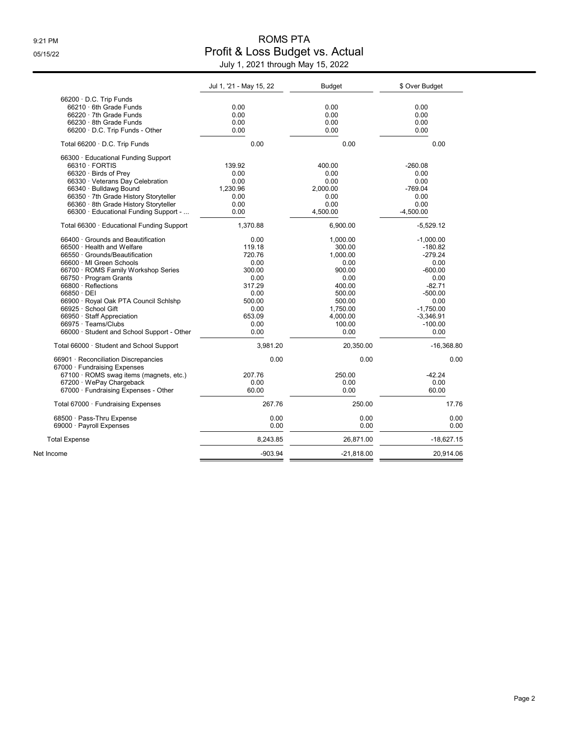## 9:21 PM ROMS PTA 05/15/22 Profit & Loss Budget vs. Actual July 1, 2021 through May 15, 2022

|                                            | Jul 1, '21 - May 15, 22 | <b>Budget</b> | \$ Over Budget |
|--------------------------------------------|-------------------------|---------------|----------------|
| 66200 D.C. Trip Funds                      |                         |               |                |
| 66210 6th Grade Funds                      | 0.00                    | 0.00          | 0.00           |
| 66220 7th Grade Funds                      | 0.00                    | 0.00          | 0.00           |
| 66230 8th Grade Funds                      | 0.00                    | 0.00          | 0.00           |
| 66200 D.C. Trip Funds - Other              | 0.00                    | 0.00          | 0.00           |
| Total 66200 D.C. Trip Funds                | 0.00                    | 0.00          | 0.00           |
| 66300 · Educational Funding Support        |                         |               |                |
| 66310 · FORTIS                             | 139.92                  | 400.00        | $-260.08$      |
| 66320 · Birds of Prey                      | 0.00                    | 0.00          | 0.00           |
| 66330 Veterans Day Celebration             | 0.00                    | 0.00          | 0.00           |
| 66340 · Bulldawg Bound                     | 1,230.96                | 2,000.00      | $-769.04$      |
| 66350 · 7th Grade History Storyteller      | 0.00                    | 0.00          | 0.00           |
| 66360 · 8th Grade History Storyteller      | 0.00                    | 0.00          | 0.00           |
| 66300 Educational Funding Support -        | 0.00                    | 4,500.00      | $-4,500.00$    |
| Total 66300 · Educational Funding Support  | 1,370.88                | 6,900.00      | $-5,529.12$    |
| 66400 Grounds and Beautification           | 0.00                    | 1,000.00      | $-1,000.00$    |
| 66500 · Health and Welfare                 | 119.18                  | 300.00        | $-180.82$      |
| 66550 Grounds/Beautification               | 720.76                  | 1,000.00      | $-279.24$      |
| 66600 · MI Green Schools                   | 0.00                    | 0.00          | 0.00           |
| 66700 · ROMS Family Workshop Series        | 300.00                  | 900.00        | $-600.00$      |
| 66750 · Program Grants                     | 0.00                    | 0.00          | 0.00           |
| 66800 · Reflections                        | 317.29                  | 400.00        | $-82.71$       |
| 66850 · DEI                                | 0.00                    | 500.00        | $-500.00$      |
| 66900 · Royal Oak PTA Council Schlshp      | 500.00                  | 500.00        | 0.00           |
| 66925 · School Gift                        | 0.00                    | 1,750.00      | $-1,750.00$    |
| 66950 · Staff Appreciation                 | 653.09                  | 4,000.00      | $-3,346.91$    |
| 66975 · Teams/Clubs                        | 0.00                    | 100.00        | $-100.00$      |
| 66000 · Student and School Support - Other | 0.00                    | 0.00          | 0.00           |
| Total 66000 Student and School Support     | 3,981.20                | 20,350.00     | $-16,368.80$   |
| 66901 · Reconciliation Discrepancies       | 0.00                    | 0.00          | 0.00           |
| 67000 · Fundraising Expenses               |                         |               |                |
| 67100 · ROMS swag items (magnets, etc.)    | 207.76                  | 250.00        | $-42.24$       |
| 67200 · WePay Chargeback                   | 0.00                    | 0.00          | 0.00           |
| 67000 · Fundraising Expenses - Other       | 60.00                   | 0.00          | 60.00          |
| Total 67000 · Fundraising Expenses         | 267.76                  | 250.00        | 17.76          |
| 68500 · Pass-Thru Expense                  | 0.00                    | 0.00          | 0.00           |
| 69000 · Payroll Expenses                   | 0.00                    | 0.00          | 0.00           |
| <b>Total Expense</b>                       | 8,243.85                | 26,871.00     | $-18,627.15$   |
| Net Income                                 | $-903.94$               | $-21,818.00$  | 20.914.06      |
|                                            |                         |               |                |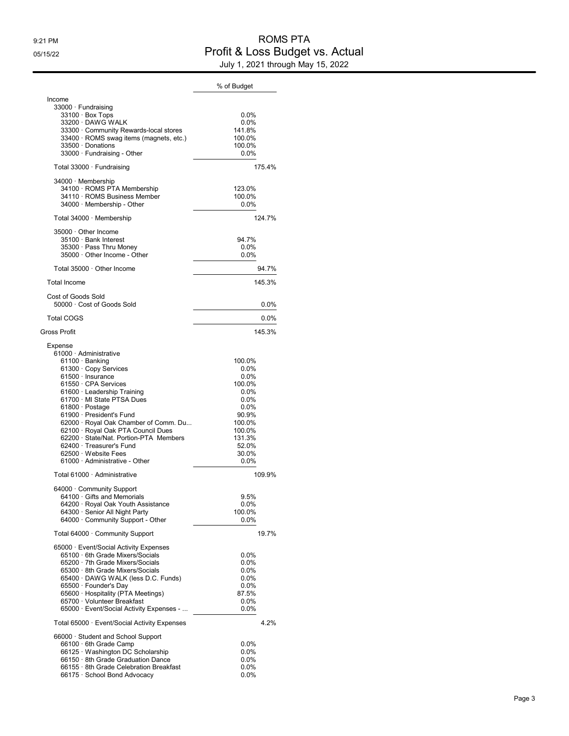## 9:21 PM ROMS PTA 05/15/22 Profit & Loss Budget vs. Actual July 1, 2021 through May 15, 2022

|                                                                                                                                                                                                                                                                                                                                                                                                                                                       | % of Budget                                                                                                                     |
|-------------------------------------------------------------------------------------------------------------------------------------------------------------------------------------------------------------------------------------------------------------------------------------------------------------------------------------------------------------------------------------------------------------------------------------------------------|---------------------------------------------------------------------------------------------------------------------------------|
| Income<br>33000 · Fundraising<br>33100 · Box Tops<br>33200 DAWG WALK<br>33300 Community Rewards-local stores<br>33400 · ROMS swag items (magnets, etc.)<br>33500 Donations<br>33000 Fundraising - Other                                                                                                                                                                                                                                               | 0.0%<br>$0.0\%$<br>141.8%<br>100.0%<br>100.0%<br>$0.0\%$                                                                        |
| Total 33000 · Fundraising                                                                                                                                                                                                                                                                                                                                                                                                                             | 175.4%                                                                                                                          |
| 34000 Membership<br>34100 · ROMS PTA Membership<br>34110 · ROMS Business Member<br>34000 · Membership - Other                                                                                                                                                                                                                                                                                                                                         | 123.0%<br>100.0%<br>0.0%                                                                                                        |
| Total 34000 · Membership                                                                                                                                                                                                                                                                                                                                                                                                                              | 124.7%                                                                                                                          |
| 35000 Other Income<br>35100 · Bank Interest<br>35300 · Pass Thru Money<br>35000 · Other Income - Other                                                                                                                                                                                                                                                                                                                                                | 94.7%<br>0.0%<br>$0.0\%$                                                                                                        |
| Total 35000 Other Income                                                                                                                                                                                                                                                                                                                                                                                                                              | 94.7%                                                                                                                           |
| <b>Total Income</b>                                                                                                                                                                                                                                                                                                                                                                                                                                   | 145.3%                                                                                                                          |
| Cost of Goods Sold<br>50000 Cost of Goods Sold                                                                                                                                                                                                                                                                                                                                                                                                        | 0.0%                                                                                                                            |
| <b>Total COGS</b>                                                                                                                                                                                                                                                                                                                                                                                                                                     | 0.0%                                                                                                                            |
| Gross Profit                                                                                                                                                                                                                                                                                                                                                                                                                                          | 145.3%                                                                                                                          |
| Expense<br>61000 Administrative<br>61100 · Banking<br>61300 · Copy Services<br>61500 · Insurance<br>61550 · CPA Services<br>61600 · Leadership Training<br>61700 · MI State PTSA Dues<br>$61800 \cdot$ Postage<br>61900 · President's Fund<br>62000 · Royal Oak Chamber of Comm. Du<br>62100 · Royal Oak PTA Council Dues<br>62200 State/Nat. Portion-PTA Members<br>62400 · Treasurer's Fund<br>62500 Website Fees<br>61000 · Administrative - Other | 100.0%<br>0.0%<br>0.0%<br>100.0%<br>$0.0\%$<br>0.0%<br>0.0%<br>90.9%<br>100.0%<br>100.0%<br>131.3%<br>52.0%<br>30.0%<br>$0.0\%$ |
| Total 61000 Administrative                                                                                                                                                                                                                                                                                                                                                                                                                            | 109.9%                                                                                                                          |
| 64000 Community Support<br>$64100 \cdot$ Gifts and Memorials<br>64200 · Royal Oak Youth Assistance<br>64300 · Senior All Night Party<br>64000 Community Support - Other                                                                                                                                                                                                                                                                               | 9.5%<br>$0.0\%$<br>100.0%<br>0.0%                                                                                               |
| Total 64000 Community Support                                                                                                                                                                                                                                                                                                                                                                                                                         | 19.7%                                                                                                                           |
| 65000 Event/Social Activity Expenses<br>65100 . 6th Grade Mixers/Socials<br>65200 · 7th Grade Mixers/Socials<br>65300 · 8th Grade Mixers/Socials<br>65400 · DAWG WALK (less D.C. Funds)<br>65500 · Founder's Day<br>65600 · Hospitality (PTA Meetings)<br>65700 · Volunteer Breakfast<br>65000 · Event/Social Activity Expenses -                                                                                                                     | 0.0%<br>$0.0\%$<br>0.0%<br>0.0%<br>0.0%<br>87.5%<br>$0.0\%$<br>$0.0\%$                                                          |
| Total 65000 · Event/Social Activity Expenses                                                                                                                                                                                                                                                                                                                                                                                                          | 4.2%                                                                                                                            |
| 66000 · Student and School Support<br>66100 . 6th Grade Camp<br>66125 · Washington DC Scholarship<br>66150 · 8th Grade Graduation Dance<br>66155 · 8th Grade Celebration Breakfast<br>66175 · School Bond Advocacy                                                                                                                                                                                                                                    | 0.0%<br>$0.0\%$<br>0.0%<br>$0.0\%$<br>$0.0\%$                                                                                   |